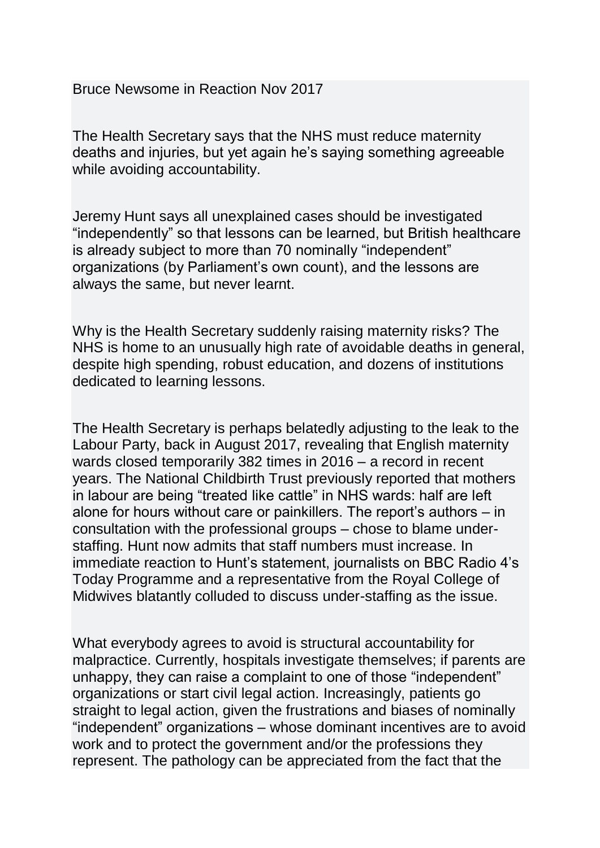Bruce Newsome in Reaction Nov 2017

The Health Secretary says that the NHS must reduce maternity deaths and injuries, but yet again he's saying something agreeable while avoiding accountability.

Jeremy Hunt says all unexplained cases should be investigated "independently" so that lessons can be learned, but British healthcare is already subject to more than 70 nominally "independent" organizations (by Parliament's own count), and the lessons are always the same, but never learnt.

Why is the Health Secretary suddenly raising maternity risks? The NHS is home to an unusually high rate of avoidable deaths in general, despite high spending, robust education, and dozens of institutions dedicated to learning lessons.

The Health Secretary is perhaps belatedly adjusting to the leak to the Labour Party, back in August 2017, revealing that English maternity wards closed temporarily 382 times in 2016 – a record in recent years. The National Childbirth Trust previously reported that mothers in labour are being "treated like cattle" in NHS wards: half are left alone for hours without care or painkillers. The report's authors – in consultation with the professional groups – chose to blame understaffing. Hunt now admits that staff numbers must increase. In immediate reaction to Hunt's statement, journalists on BBC Radio 4's Today Programme and a representative from the Royal College of Midwives blatantly colluded to discuss under-staffing as the issue.

What everybody agrees to avoid is structural accountability for malpractice. Currently, hospitals investigate themselves; if parents are unhappy, they can raise a complaint to one of those "independent" organizations or start civil legal action. Increasingly, patients go straight to legal action, given the frustrations and biases of nominally "independent" organizations – whose dominant incentives are to avoid work and to protect the government and/or the professions they represent. The pathology can be appreciated from the fact that the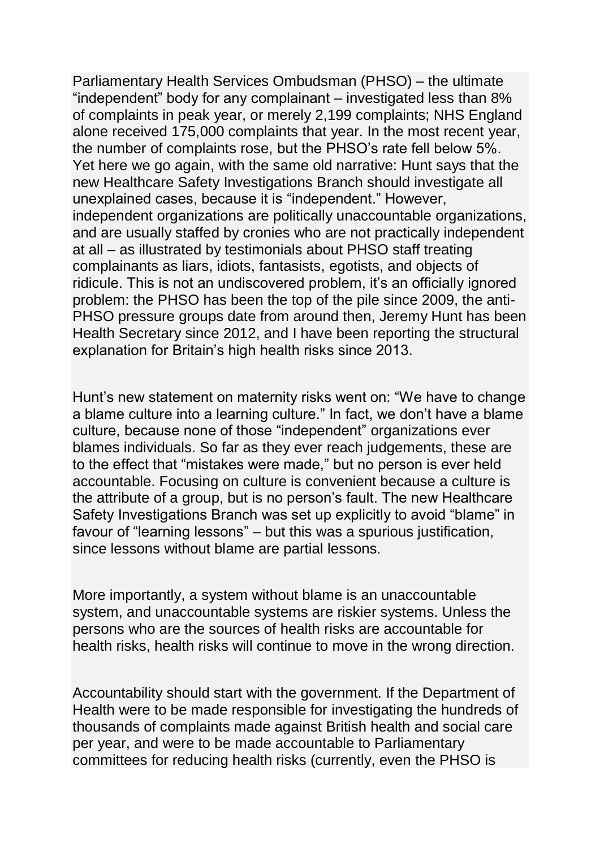Parliamentary Health Services Ombudsman (PHSO) – the ultimate "independent" body for any complainant – investigated less than 8% of complaints in peak year, or merely 2,199 complaints; NHS England alone received 175,000 complaints that year. In the most recent year, the number of complaints rose, but the PHSO's rate fell below 5%. Yet here we go again, with the same old narrative: Hunt says that the new Healthcare Safety Investigations Branch should investigate all unexplained cases, because it is "independent." However, independent organizations are politically unaccountable organizations, and are usually staffed by cronies who are not practically independent at all – as illustrated by testimonials about PHSO staff treating complainants as liars, idiots, fantasists, egotists, and objects of ridicule. This is not an undiscovered problem, it's an officially ignored problem: the PHSO has been the top of the pile since 2009, the anti-PHSO pressure groups date from around then, Jeremy Hunt has been Health Secretary since 2012, and I have been reporting the structural explanation for Britain's high health risks since 2013.

Hunt's new statement on maternity risks went on: "We have to change a blame culture into a learning culture." In fact, we don't have a blame culture, because none of those "independent" organizations ever blames individuals. So far as they ever reach judgements, these are to the effect that "mistakes were made," but no person is ever held accountable. Focusing on culture is convenient because a culture is the attribute of a group, but is no person's fault. The new Healthcare Safety Investigations Branch was set up explicitly to avoid "blame" in favour of "learning lessons" – but this was a spurious justification, since lessons without blame are partial lessons.

More importantly, a system without blame is an unaccountable system, and unaccountable systems are riskier systems. Unless the persons who are the sources of health risks are accountable for health risks, health risks will continue to move in the wrong direction.

Accountability should start with the government. If the Department of Health were to be made responsible for investigating the hundreds of thousands of complaints made against British health and social care per year, and were to be made accountable to Parliamentary committees for reducing health risks (currently, even the PHSO is